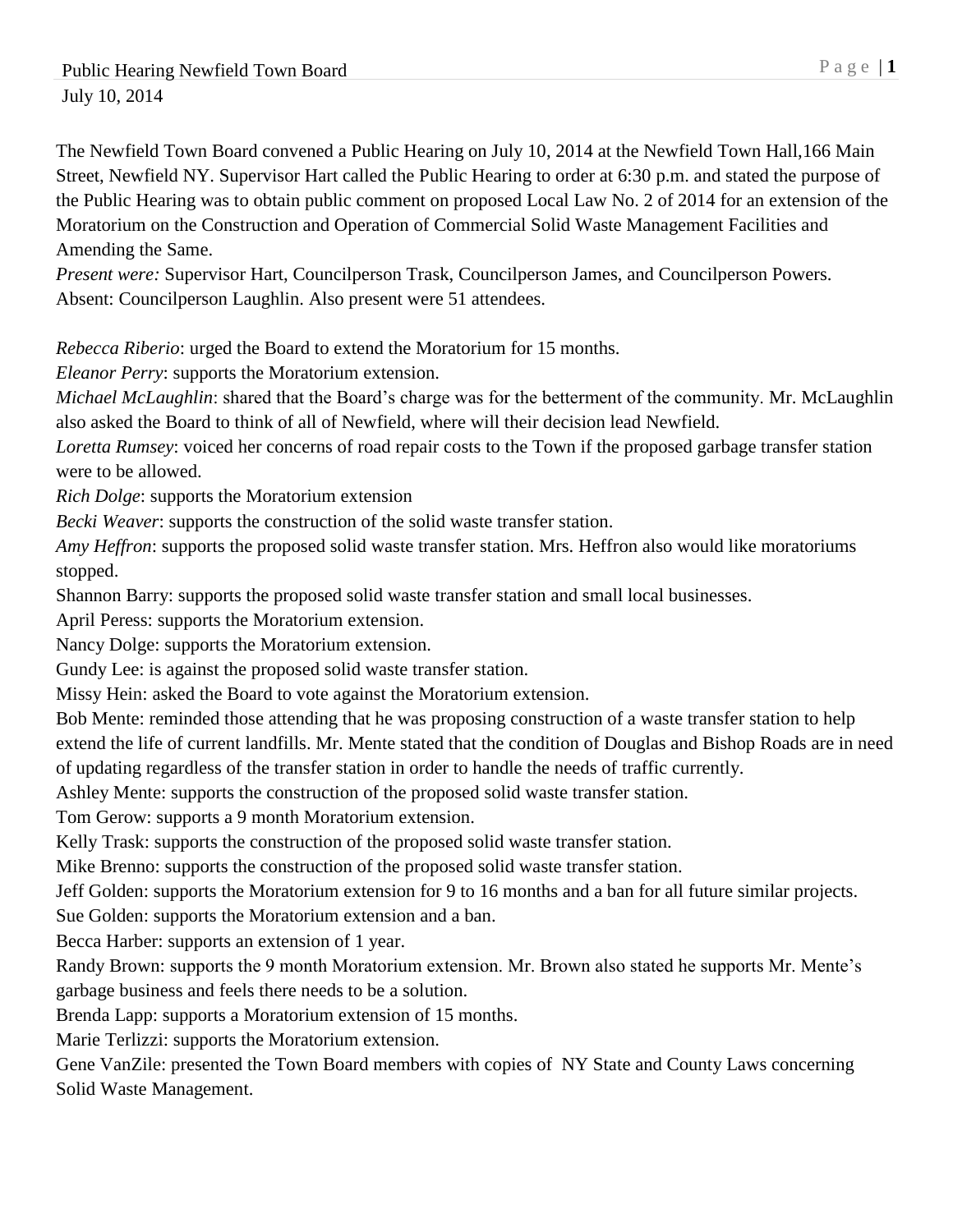The Newfield Town Board convened a Public Hearing on July 10, 2014 at the Newfield Town Hall,166 Main Street, Newfield NY. Supervisor Hart called the Public Hearing to order at 6:30 p.m. and stated the purpose of the Public Hearing was to obtain public comment on proposed Local Law No. 2 of 2014 for an extension of the Moratorium on the Construction and Operation of Commercial Solid Waste Management Facilities and Amending the Same.

*Present were:* Supervisor Hart, Councilperson Trask, Councilperson James, and Councilperson Powers. Absent: Councilperson Laughlin. Also present were 51 attendees.

*Rebecca Riberio*: urged the Board to extend the Moratorium for 15 months.

*Eleanor Perry*: supports the Moratorium extension.

*Michael McLaughlin*: shared that the Board's charge was for the betterment of the community. Mr. McLaughlin also asked the Board to think of all of Newfield, where will their decision lead Newfield.

*Loretta Rumsey*: voiced her concerns of road repair costs to the Town if the proposed garbage transfer station were to be allowed.

*Rich Dolge*: supports the Moratorium extension

*Becki Weaver*: supports the construction of the solid waste transfer station.

*Amy Heffron*: supports the proposed solid waste transfer station. Mrs. Heffron also would like moratoriums stopped.

Shannon Barry: supports the proposed solid waste transfer station and small local businesses.

April Peress: supports the Moratorium extension.

Nancy Dolge: supports the Moratorium extension.

Gundy Lee: is against the proposed solid waste transfer station.

Missy Hein: asked the Board to vote against the Moratorium extension.

Bob Mente: reminded those attending that he was proposing construction of a waste transfer station to help extend the life of current landfills. Mr. Mente stated that the condition of Douglas and Bishop Roads are in need

of updating regardless of the transfer station in order to handle the needs of traffic currently.

Ashley Mente: supports the construction of the proposed solid waste transfer station.

Tom Gerow: supports a 9 month Moratorium extension.

Kelly Trask: supports the construction of the proposed solid waste transfer station.

Mike Brenno: supports the construction of the proposed solid waste transfer station.

Jeff Golden: supports the Moratorium extension for 9 to 16 months and a ban for all future similar projects.

Sue Golden: supports the Moratorium extension and a ban.

Becca Harber: supports an extension of 1 year.

Randy Brown: supports the 9 month Moratorium extension. Mr. Brown also stated he supports Mr. Mente's garbage business and feels there needs to be a solution.

Brenda Lapp: supports a Moratorium extension of 15 months.

Marie Terlizzi: supports the Moratorium extension.

Gene VanZile: presented the Town Board members with copies of NY State and County Laws concerning Solid Waste Management.